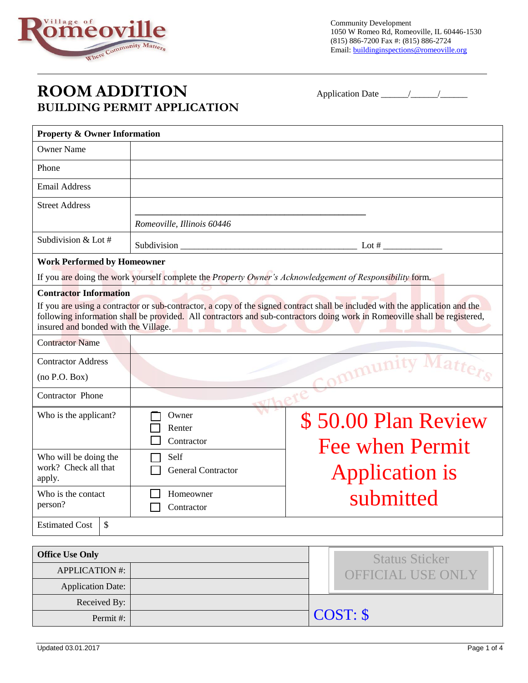

Community Development 1050 W Romeo Rd, Romeoville, IL 60446-1530 (815) 886-7200 Fax #: (815) 886-2724 Email: buildinginspections@romeoville.org

## **ROOM ADDITION** Application Date \_\_\_\_\_\_/\_\_\_\_\_\_/\_\_\_\_\_\_ **BUILDING PERMIT APPLICATION**

| <b>Property &amp; Owner Information</b>                               |                                                                                |                                                                                                                                                                                                                                                             |  |  |
|-----------------------------------------------------------------------|--------------------------------------------------------------------------------|-------------------------------------------------------------------------------------------------------------------------------------------------------------------------------------------------------------------------------------------------------------|--|--|
| <b>Owner Name</b>                                                     |                                                                                |                                                                                                                                                                                                                                                             |  |  |
| Phone                                                                 |                                                                                |                                                                                                                                                                                                                                                             |  |  |
| <b>Email Address</b>                                                  |                                                                                |                                                                                                                                                                                                                                                             |  |  |
| <b>Street Address</b>                                                 |                                                                                |                                                                                                                                                                                                                                                             |  |  |
|                                                                       | Romeoville, Illinois 60446                                                     |                                                                                                                                                                                                                                                             |  |  |
| Subdivision & Lot #                                                   |                                                                                | Lot $#$                                                                                                                                                                                                                                                     |  |  |
| <b>Work Performed by Homeowner</b>                                    |                                                                                |                                                                                                                                                                                                                                                             |  |  |
|                                                                       |                                                                                | If you are doing the work yourself complete the Property Owner's Acknowledgement of Responsibility form.                                                                                                                                                    |  |  |
| <b>Contractor Information</b><br>insured and bonded with the Village. |                                                                                | If you are using a contractor or sub-contractor, a copy of the signed contract shall be included with the application and the<br>following information shall be provided. All contractors and sub-contractors doing work in Romeoville shall be registered, |  |  |
| <b>Contractor Name</b>                                                |                                                                                |                                                                                                                                                                                                                                                             |  |  |
| <b>Contractor Address</b><br>(no P.O. Box)                            | VLa1<br>mmunity                                                                |                                                                                                                                                                                                                                                             |  |  |
| Contractor Phone                                                      |                                                                                |                                                                                                                                                                                                                                                             |  |  |
| Who is the applicant?                                                 | Owner<br>\$50.00 Plan Review<br>Renter<br>Contractor<br><b>Fee when Permit</b> |                                                                                                                                                                                                                                                             |  |  |
| Who will be doing the<br>work? Check all that<br>apply.               | Self<br><b>General Contractor</b>                                              | <b>Application is</b>                                                                                                                                                                                                                                       |  |  |
| Who is the contact<br>person?                                         | submitted<br>Homeowner<br>Contractor                                           |                                                                                                                                                                                                                                                             |  |  |
| \$<br><b>Estimated Cost</b>                                           |                                                                                |                                                                                                                                                                                                                                                             |  |  |
| <b>Office Use Only</b>                                                |                                                                                |                                                                                                                                                                                                                                                             |  |  |
| <b>APPLICATION #:</b>                                                 |                                                                                | <b>Status Sticker</b><br>OFFICIAL USE ONLY                                                                                                                                                                                                                  |  |  |

Application Date: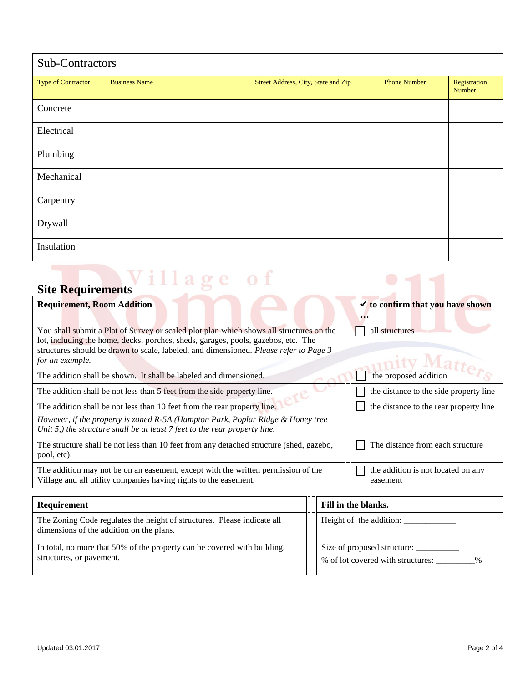| Sub-Contractors           |                      |                                     |                     |                        |
|---------------------------|----------------------|-------------------------------------|---------------------|------------------------|
| <b>Type of Contractor</b> | <b>Business Name</b> | Street Address, City, State and Zip | <b>Phone Number</b> | Registration<br>Number |
| Concrete                  |                      |                                     |                     |                        |
| Electrical                |                      |                                     |                     |                        |
| Plumbing                  |                      |                                     |                     |                        |
| Mechanical                |                      |                                     |                     |                        |
| Carpentry                 |                      |                                     |                     |                        |
| Drywall                   |                      |                                     |                     |                        |
| Insulation                |                      |                                     |                     |                        |

## **Site Requirements**

| <b>Requirement, Room Addition</b>                                                                                                                                                                                                                                                        |  | $\checkmark$ to confirm that you have shown    |
|------------------------------------------------------------------------------------------------------------------------------------------------------------------------------------------------------------------------------------------------------------------------------------------|--|------------------------------------------------|
|                                                                                                                                                                                                                                                                                          |  |                                                |
| You shall submit a Plat of Survey or scaled plot plan which shows all structures on the<br>lot, including the home, decks, porches, sheds, garages, pools, gazebos, etc. The<br>structures should be drawn to scale, labeled, and dimensioned. Please refer to Page 3<br>for an example. |  | all structures                                 |
| The addition shall be shown. It shall be labeled and dimensioned.                                                                                                                                                                                                                        |  | the proposed addition                          |
| The addition shall be not less than 5 feet from the side property line.                                                                                                                                                                                                                  |  | the distance to the side property line         |
| The addition shall be not less than 10 feet from the rear property line.<br>However, if the property is zoned R-5A (Hampton Park, Poplar Ridge & Honey tree<br>Unit 5,) the structure shall be at least 7 feet to the rear property line.                                                |  | the distance to the rear property line         |
| The structure shall be not less than 10 feet from any detached structure (shed, gazebo,<br>pool, etc).                                                                                                                                                                                   |  | The distance from each structure               |
| The addition may not be on an easement, except with the written permission of the<br>Village and all utility companies having rights to the easement.                                                                                                                                    |  | the addition is not located on any<br>easement |
|                                                                                                                                                                                                                                                                                          |  |                                                |

 $\bullet$ 

| Requirement                                                                                                         |  | Fill in the blanks.                                              |  |  |
|---------------------------------------------------------------------------------------------------------------------|--|------------------------------------------------------------------|--|--|
| The Zoning Code regulates the height of structures. Please indicate all<br>dimensions of the addition on the plans. |  |                                                                  |  |  |
| In total, no more that 50% of the property can be covered with building,<br>structures, or pavement.                |  | Size of proposed structure:<br>% of lot covered with structures: |  |  |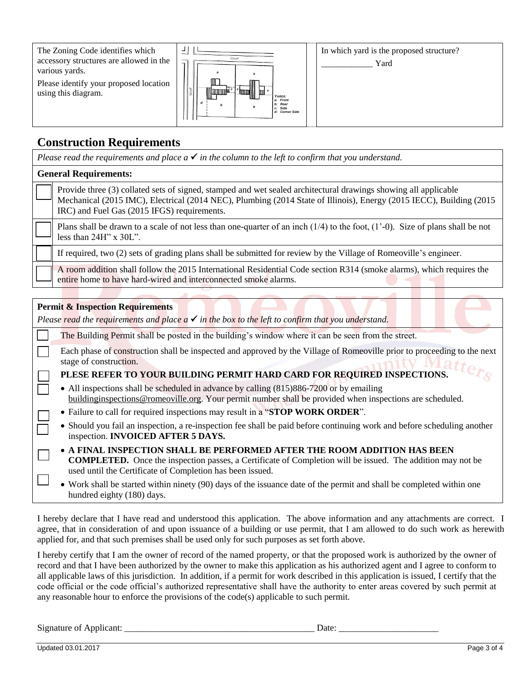The Zoning Code identifies which accessory structures are allowed in the various yards.

Please identify your proposed location using this diagram.



*Please read the requirements and place*  $a \checkmark$  *in the column to the left to confirm that you understand.* 

In which yard is the proposed structure? \_\_\_\_\_\_\_\_\_\_\_\_ Yard

## **Construction Requirements**

**General Requirements:** Provide three (3) collated sets of signed, stamped and wet sealed architectural drawings showing all applicable Mechanical (2015 IMC), Electrical (2014 NEC), Plumbing (2014 State of Illinois), Energy (2015 IECC), Building (2015 IRC) and Fuel Gas (2015 IFGS) requirements. Plans shall be drawn to a scale of not less than one-quarter of an inch (1/4) to the foot, (1'-0). Size of plans shall be not less than 24H" x 30L". If required, two (2) sets of grading plans shall be submitted for review by the Village of Romeoville's engineer. A room addition shall follow the 2015 International Residential Code section R314 (smoke alarms), which requires the entire home to have hard-wired and interconnected smoke alarms. **Permit & Inspection Requirements** *Please read the requirements and place*  $a \checkmark$  *in the box to the left to confirm that you understand.* The Building Permit shall be posted in the building's window where it can be seen from the street. Each phase of construction shall be inspected and approved by the Village of Romeoville prior to proceeding to the next stage of construction. **PLESE REFER TO YOUR BUILDING PERMIT HARD CARD FOR REQUIRED INSPECTIONS.** • All inspections shall be scheduled in advance by calling (815)886-7200 or by emailing buildinginspections@romeoville.org. Your permit number shall be provided when inspections are scheduled. Failure to call for required inspections may result in a "**STOP WORK ORDER**". Should you fail an inspection, a re-inspection fee shall be paid before continuing work and before scheduling another inspection. **INVOICED AFTER 5 DAYS. A FINAL INSPECTION SHALL BE PERFORMED AFTER THE ROOM ADDITION HAS BEEN COMPLETED.** Once the inspection passes, a Certificate of Completion will be issued. The addition may not be used until the Certificate of Completion has been issued. Work shall be started within ninety (90) days of the issuance date of the permit and shall be completed within one hundred eighty (180) days.

I hereby declare that I have read and understood this application. The above information and any attachments are correct. I agree, that in consideration of and upon issuance of a building or use permit, that I am allowed to do such work as herewith applied for, and that such premises shall be used only for such purposes as set forth above.

I hereby certify that I am the owner of record of the named property, or that the proposed work is authorized by the owner of record and that I have been authorized by the owner to make this application as his authorized agent and I agree to conform to all applicable laws of this jurisdiction. In addition, if a permit for work described in this application is issued, I certify that the code official or the code official's authorized representative shall have the authority to enter areas covered by such permit at any reasonable hour to enforce the provisions of the code(s) applicable to such permit.

Signature of Applicant: \_\_\_\_\_\_\_\_\_\_\_\_\_\_\_\_\_\_\_\_\_\_\_\_\_\_\_\_\_\_\_\_\_\_\_\_\_\_\_\_\_\_ Date: \_\_\_\_\_\_\_\_\_\_\_\_\_\_\_\_\_\_\_\_\_\_